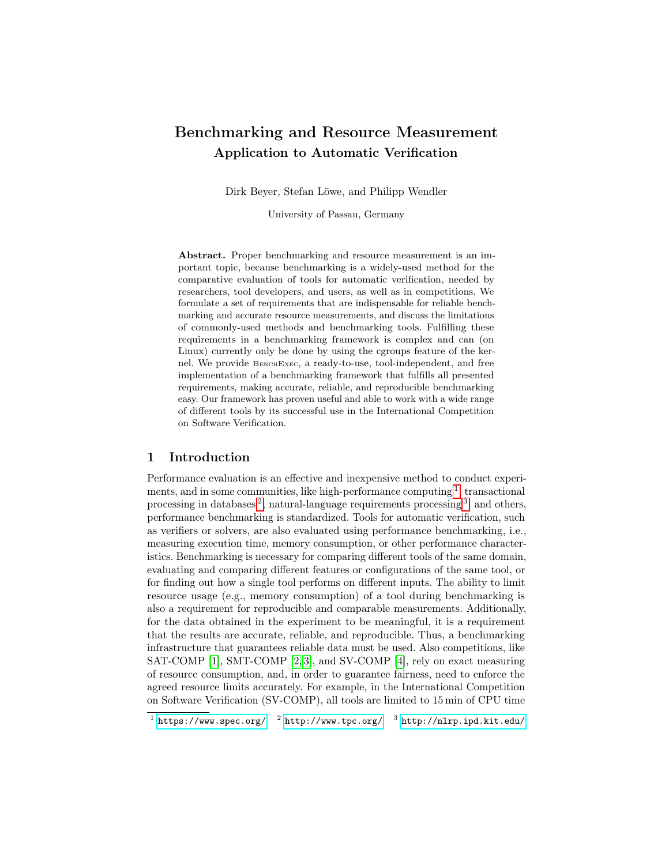# <span id="page-0-0"></span>Benchmarking and Resource Measurement Application to Automatic Verification

Dirk Beyer, Stefan Löwe, and Philipp Wendler

University of Passau, Germany

Abstract. Proper benchmarking and resource measurement is an important topic, because benchmarking is a widely-used method for the comparative evaluation of tools for automatic verification, needed by researchers, tool developers, and users, as well as in competitions. We formulate a set of requirements that are indispensable for reliable benchmarking and accurate resource measurements, and discuss the limitations of commonly-used methods and benchmarking tools. Fulfilling these requirements in a benchmarking framework is complex and can (on Linux) currently only be done by using the cgroups feature of the kernel. We provide BenchExec, a ready-to-use, tool-independent, and free implementation of a benchmarking framework that fulfills all presented requirements, making accurate, reliable, and reproducible benchmarking easy. Our framework has proven useful and able to work with a wide range of different tools by its successful use in the International Competition on Software Verification.

## 1 Introduction

Performance evaluation is an effective and inexpensive method to conduct experiments, and in some communities, like high-performance computing <sup>1</sup>, transactional processing in databases<sup>2</sup>, natural-language requirements processing<sup>3</sup>, and others, performance benchmarking is standardized. Tools for automatic verification, such as verifiers or solvers, are also evaluated using performance benchmarking, i.e., measuring execution time, memory consumption, or other performance characteristics. Benchmarking is necessary for comparing different tools of the same domain, evaluating and comparing different features or configurations of the same tool, or for finding out how a single tool performs on different inputs. The ability to limit resource usage (e.g., memory consumption) of a tool during benchmarking is also a requirement for reproducible and comparable measurements. Additionally, for the data obtained in the experiment to be meaningful, it is a requirement that the results are accurate, reliable, and reproducible. Thus, a benchmarking infrastructure that guarantees reliable data must be used. Also competitions, like SAT-COMP [\[1\]](#page-17-0), SMT-COMP [\[2,](#page-17-1) [3\]](#page-17-2), and SV-COMP [\[4\]](#page-17-3), rely on exact measuring of resource consumption, and, in order to guarantee fairness, need to enforce the agreed resource limits accurately. For example, in the International Competition on Software Verification (SV-COMP), all tools are limited to 15 min of CPU time

 $^1$  <https://www.spec.org/>  $^{-2}$  <http://www.tpc.org/>  $^{-3}$  <http://nlrp.ipd.kit.edu/>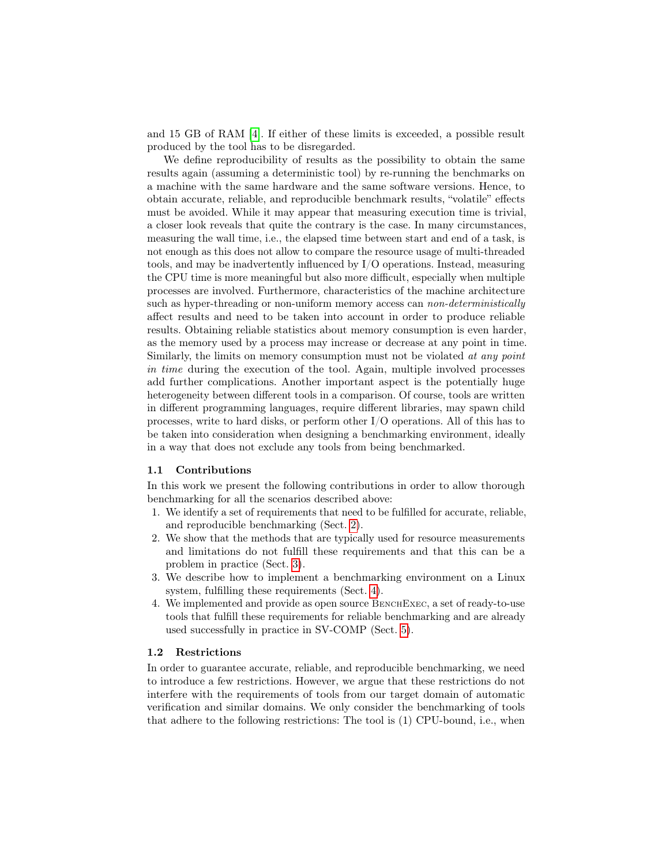and 15 GB of RAM [\[4\]](#page-17-3). If either of these limits is exceeded, a possible result produced by the tool has to be disregarded.

We define reproducibility of results as the possibility to obtain the same results again (assuming a deterministic tool) by re-running the benchmarks on a machine with the same hardware and the same software versions. Hence, to obtain accurate, reliable, and reproducible benchmark results, "volatile" effects must be avoided. While it may appear that measuring execution time is trivial, a closer look reveals that quite the contrary is the case. In many circumstances, measuring the wall time, i.e., the elapsed time between start and end of a task, is not enough as this does not allow to compare the resource usage of multi-threaded tools, and may be inadvertently influenced by I/O operations. Instead, measuring the CPU time is more meaningful but also more difficult, especially when multiple processes are involved. Furthermore, characteristics of the machine architecture such as hyper-threading or non-uniform memory access can *non-deterministically* affect results and need to be taken into account in order to produce reliable results. Obtaining reliable statistics about memory consumption is even harder, as the memory used by a process may increase or decrease at any point in time. Similarly, the limits on memory consumption must not be violated at any point in time during the execution of the tool. Again, multiple involved processes add further complications. Another important aspect is the potentially huge heterogeneity between different tools in a comparison. Of course, tools are written in different programming languages, require different libraries, may spawn child processes, write to hard disks, or perform other I/O operations. All of this has to be taken into consideration when designing a benchmarking environment, ideally in a way that does not exclude any tools from being benchmarked.

#### 1.1 Contributions

In this work we present the following contributions in order to allow thorough benchmarking for all the scenarios described above:

- 1. We identify a set of requirements that need to be fulfilled for accurate, reliable, and reproducible benchmarking (Sect. [2\)](#page-2-0).
- 2. We show that the methods that are typically used for resource measurements and limitations do not fulfill these requirements and that this can be a problem in practice (Sect. [3\)](#page-5-0).
- 3. We describe how to implement a benchmarking environment on a Linux system, fulfilling these requirements (Sect. [4\)](#page-7-0).
- 4. We implemented and provide as open source BenchExec, a set of ready-to-use tools that fulfill these requirements for reliable benchmarking and are already used successfully in practice in SV-COMP (Sect. [5\)](#page-9-0).

## 1.2 Restrictions

<span id="page-1-0"></span>In order to guarantee accurate, reliable, and reproducible benchmarking, we need to introduce a few restrictions. However, we argue that these restrictions do not interfere with the requirements of tools from our target domain of automatic verification and similar domains. We only consider the benchmarking of tools that adhere to the following restrictions: The tool is (1) CPU-bound, i.e., when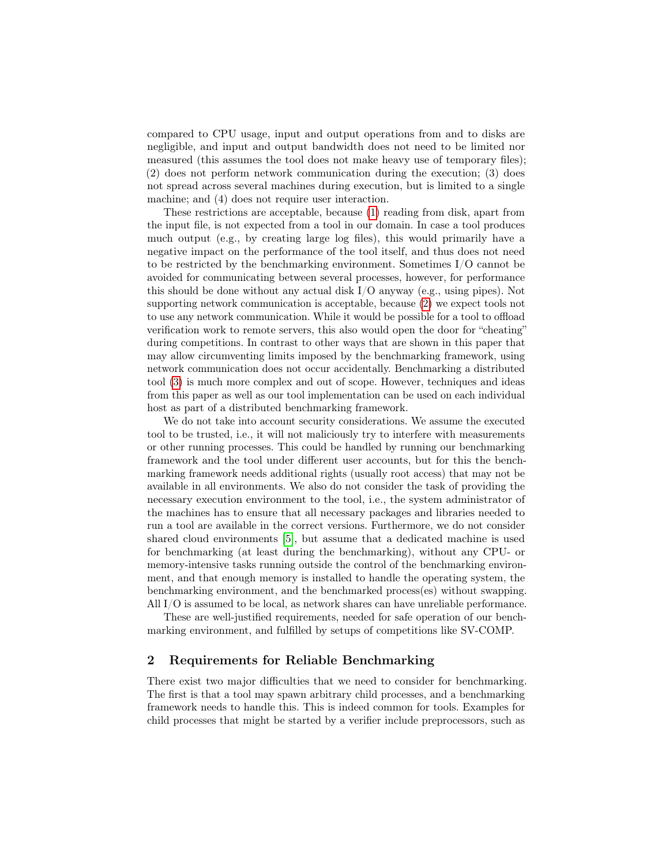<span id="page-2-2"></span><span id="page-2-1"></span>compared to CPU usage, input and output operations from and to disks are negligible, and input and output bandwidth does not need to be limited nor measured (this assumes the tool does not make heavy use of temporary files); (2) does not perform network communication during the execution; (3) does not spread across several machines during execution, but is limited to a single machine; and (4) does not require user interaction.

These restrictions are acceptable, because [\(1\)](#page-1-0) reading from disk, apart from the input file, is not expected from a tool in our domain. In case a tool produces much output (e.g., by creating large log files), this would primarily have a negative impact on the performance of the tool itself, and thus does not need to be restricted by the benchmarking environment. Sometimes I/O cannot be avoided for communicating between several processes, however, for performance this should be done without any actual disk  $I/O$  anyway (e.g., using pipes). Not supporting network communication is acceptable, because [\(2\)](#page-2-1) we expect tools not to use any network communication. While it would be possible for a tool to offload verification work to remote servers, this also would open the door for "cheating" during competitions. In contrast to other ways that are shown in this paper that may allow circumventing limits imposed by the benchmarking framework, using network communication does not occur accidentally. Benchmarking a distributed tool [\(3\)](#page-2-2) is much more complex and out of scope. However, techniques and ideas from this paper as well as our tool implementation can be used on each individual host as part of a distributed benchmarking framework.

We do not take into account security considerations. We assume the executed tool to be trusted, i.e., it will not maliciously try to interfere with measurements or other running processes. This could be handled by running our benchmarking framework and the tool under different user accounts, but for this the benchmarking framework needs additional rights (usually root access) that may not be available in all environments. We also do not consider the task of providing the necessary execution environment to the tool, i.e., the system administrator of the machines has to ensure that all necessary packages and libraries needed to run a tool are available in the correct versions. Furthermore, we do not consider shared cloud environments [\[5\]](#page-17-4), but assume that a dedicated machine is used for benchmarking (at least during the benchmarking), without any CPU- or memory-intensive tasks running outside the control of the benchmarking environment, and that enough memory is installed to handle the operating system, the benchmarking environment, and the benchmarked process(es) without swapping. All I/O is assumed to be local, as network shares can have unreliable performance.

These are well-justified requirements, needed for safe operation of our benchmarking environment, and fulfilled by setups of competitions like SV-COMP.

# <span id="page-2-0"></span>2 Requirements for Reliable Benchmarking

There exist two major difficulties that we need to consider for benchmarking. The first is that a tool may spawn arbitrary child processes, and a benchmarking framework needs to handle this. This is indeed common for tools. Examples for child processes that might be started by a verifier include preprocessors, such as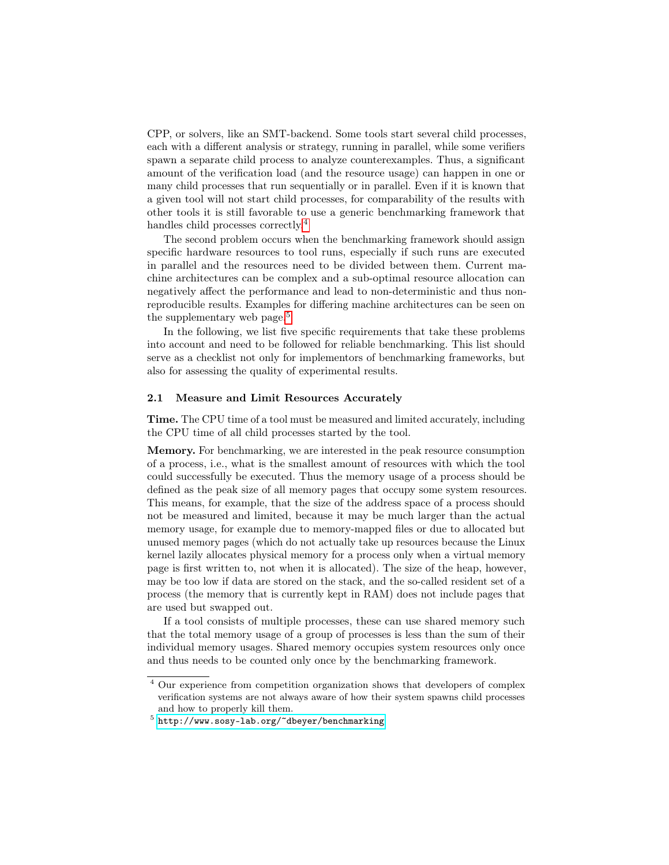CPP, or solvers, like an SMT-backend. Some tools start several child processes, each with a different analysis or strategy, running in parallel, while some verifiers spawn a separate child process to analyze counterexamples. Thus, a significant amount of the verification load (and the resource usage) can happen in one or many child processes that run sequentially or in parallel. Even if it is known that a given tool will not start child processes, for comparability of the results with other tools it is still favorable to use a generic benchmarking framework that handles child processes correctly.<sup>[4](#page-0-0)</sup>

The second problem occurs when the benchmarking framework should assign specific hardware resources to tool runs, especially if such runs are executed in parallel and the resources need to be divided between them. Current machine architectures can be complex and a sub-optimal resource allocation can negatively affect the performance and lead to non-deterministic and thus nonreproducible results. Examples for differing machine architectures can be seen on the supplementary web page.<sup>[5](#page-0-0)</sup>

In the following, we list five specific requirements that take these problems into account and need to be followed for reliable benchmarking. This list should serve as a checklist not only for implementors of benchmarking frameworks, but also for assessing the quality of experimental results.

#### 2.1 Measure and Limit Resources Accurately

Time. The CPU time of a tool must be measured and limited accurately, including the CPU time of all child processes started by the tool.

Memory. For benchmarking, we are interested in the peak resource consumption of a process, i.e., what is the smallest amount of resources with which the tool could successfully be executed. Thus the memory usage of a process should be defined as the peak size of all memory pages that occupy some system resources. This means, for example, that the size of the address space of a process should not be measured and limited, because it may be much larger than the actual memory usage, for example due to memory-mapped files or due to allocated but unused memory pages (which do not actually take up resources because the Linux kernel lazily allocates physical memory for a process only when a virtual memory page is first written to, not when it is allocated). The size of the heap, however, may be too low if data are stored on the stack, and the so-called resident set of a process (the memory that is currently kept in RAM) does not include pages that are used but swapped out.

If a tool consists of multiple processes, these can use shared memory such that the total memory usage of a group of processes is less than the sum of their individual memory usages. Shared memory occupies system resources only once and thus needs to be counted only once by the benchmarking framework.

<sup>4</sup> Our experience from competition organization shows that developers of complex verification systems are not always aware of how their system spawns child processes and how to properly kill them.

 $^5$  <http://www.sosy-lab.org/~dbeyer/benchmarking>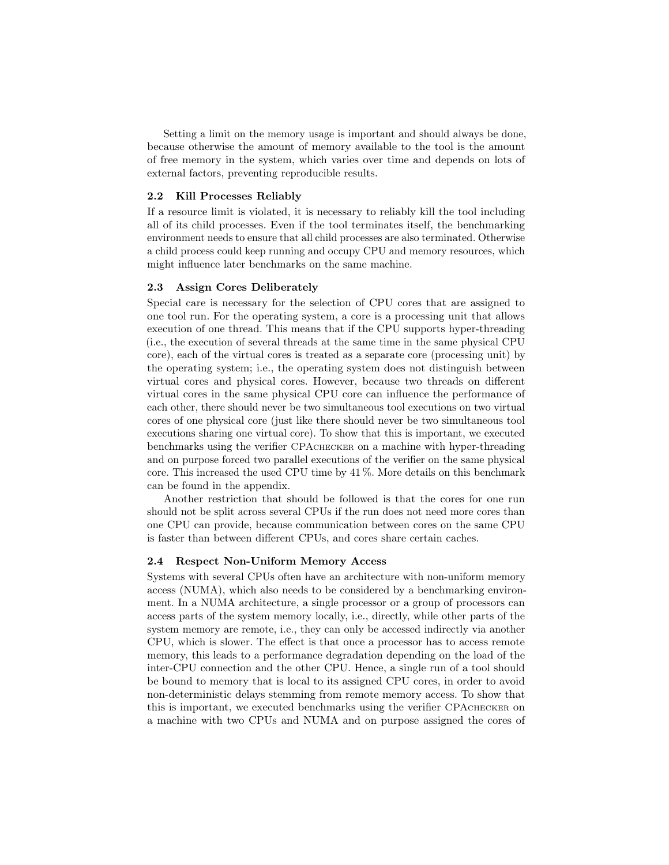Setting a limit on the memory usage is important and should always be done, because otherwise the amount of memory available to the tool is the amount of free memory in the system, which varies over time and depends on lots of external factors, preventing reproducible results.

#### 2.2 Kill Processes Reliably

If a resource limit is violated, it is necessary to reliably kill the tool including all of its child processes. Even if the tool terminates itself, the benchmarking environment needs to ensure that all child processes are also terminated. Otherwise a child process could keep running and occupy CPU and memory resources, which might influence later benchmarks on the same machine.

## 2.3 Assign Cores Deliberately

Special care is necessary for the selection of CPU cores that are assigned to one tool run. For the operating system, a core is a processing unit that allows execution of one thread. This means that if the CPU supports hyper-threading (i.e., the execution of several threads at the same time in the same physical CPU core), each of the virtual cores is treated as a separate core (processing unit) by the operating system; i.e., the operating system does not distinguish between virtual cores and physical cores. However, because two threads on different virtual cores in the same physical CPU core can influence the performance of each other, there should never be two simultaneous tool executions on two virtual cores of one physical core (just like there should never be two simultaneous tool executions sharing one virtual core). To show that this is important, we executed benchmarks using the verifier CPAchecker on a machine with hyper-threading and on purpose forced two parallel executions of the verifier on the same physical core. This increased the used CPU time by 41 %. More details on this benchmark can be found in the appendix.

Another restriction that should be followed is that the cores for one run should not be split across several CPUs if the run does not need more cores than one CPU can provide, because communication between cores on the same CPU is faster than between different CPUs, and cores share certain caches.

#### 2.4 Respect Non-Uniform Memory Access

Systems with several CPUs often have an architecture with non-uniform memory access (NUMA), which also needs to be considered by a benchmarking environment. In a NUMA architecture, a single processor or a group of processors can access parts of the system memory locally, i.e., directly, while other parts of the system memory are remote, i.e., they can only be accessed indirectly via another CPU, which is slower. The effect is that once a processor has to access remote memory, this leads to a performance degradation depending on the load of the inter-CPU connection and the other CPU. Hence, a single run of a tool should be bound to memory that is local to its assigned CPU cores, in order to avoid non-deterministic delays stemming from remote memory access. To show that this is important, we executed benchmarks using the verifier CPAchecker on a machine with two CPUs and NUMA and on purpose assigned the cores of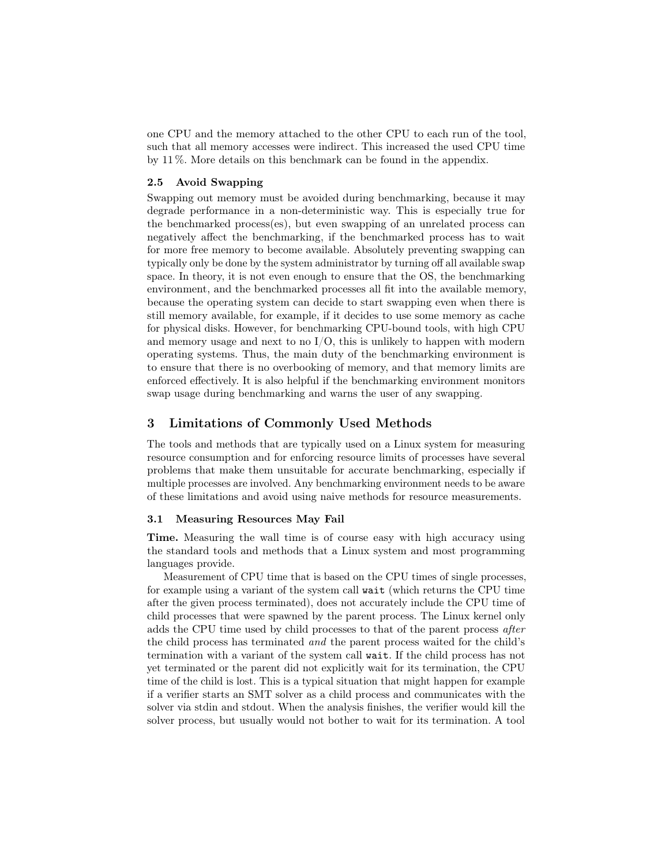one CPU and the memory attached to the other CPU to each run of the tool, such that all memory accesses were indirect. This increased the used CPU time by 11 %. More details on this benchmark can be found in the appendix.

#### 2.5 Avoid Swapping

Swapping out memory must be avoided during benchmarking, because it may degrade performance in a non-deterministic way. This is especially true for the benchmarked process(es), but even swapping of an unrelated process can negatively affect the benchmarking, if the benchmarked process has to wait for more free memory to become available. Absolutely preventing swapping can typically only be done by the system administrator by turning off all available swap space. In theory, it is not even enough to ensure that the OS, the benchmarking environment, and the benchmarked processes all fit into the available memory, because the operating system can decide to start swapping even when there is still memory available, for example, if it decides to use some memory as cache for physical disks. However, for benchmarking CPU-bound tools, with high CPU and memory usage and next to no I/O, this is unlikely to happen with modern operating systems. Thus, the main duty of the benchmarking environment is to ensure that there is no overbooking of memory, and that memory limits are enforced effectively. It is also helpful if the benchmarking environment monitors swap usage during benchmarking and warns the user of any swapping.

# <span id="page-5-0"></span>3 Limitations of Commonly Used Methods

The tools and methods that are typically used on a Linux system for measuring resource consumption and for enforcing resource limits of processes have several problems that make them unsuitable for accurate benchmarking, especially if multiple processes are involved. Any benchmarking environment needs to be aware of these limitations and avoid using naive methods for resource measurements.

## 3.1 Measuring Resources May Fail

Time. Measuring the wall time is of course easy with high accuracy using the standard tools and methods that a Linux system and most programming languages provide.

Measurement of CPU time that is based on the CPU times of single processes, for example using a variant of the system call wait (which returns the CPU time after the given process terminated), does not accurately include the CPU time of child processes that were spawned by the parent process. The Linux kernel only adds the CPU time used by child processes to that of the parent process after the child process has terminated and the parent process waited for the child's termination with a variant of the system call wait. If the child process has not yet terminated or the parent did not explicitly wait for its termination, the CPU time of the child is lost. This is a typical situation that might happen for example if a verifier starts an SMT solver as a child process and communicates with the solver via stdin and stdout. When the analysis finishes, the verifier would kill the solver process, but usually would not bother to wait for its termination. A tool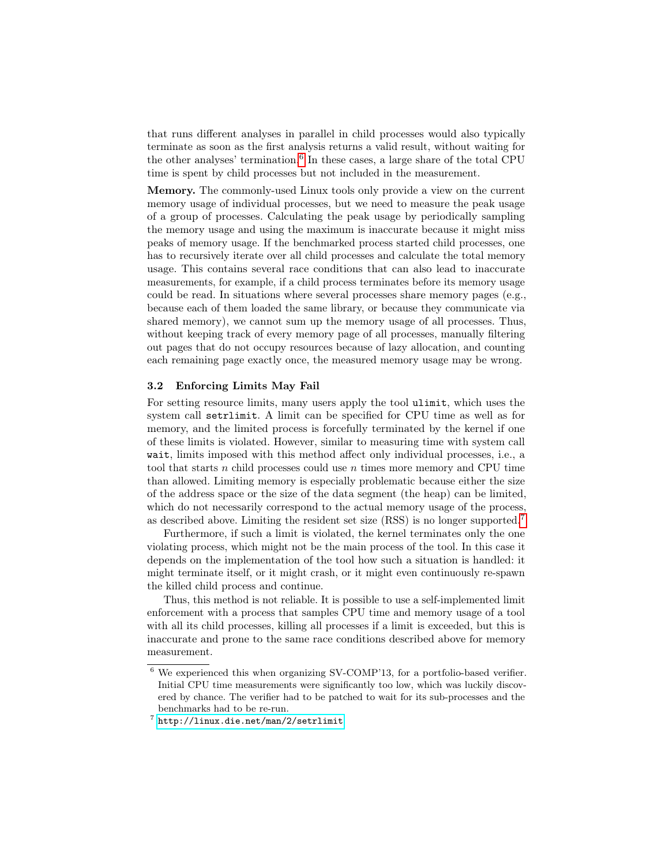that runs different analyses in parallel in child processes would also typically terminate as soon as the first analysis returns a valid result, without waiting for the other analyses' termination.<sup>[6](#page-0-0)</sup> In these cases, a large share of the total CPU time is spent by child processes but not included in the measurement.

Memory. The commonly-used Linux tools only provide a view on the current memory usage of individual processes, but we need to measure the peak usage of a group of processes. Calculating the peak usage by periodically sampling the memory usage and using the maximum is inaccurate because it might miss peaks of memory usage. If the benchmarked process started child processes, one has to recursively iterate over all child processes and calculate the total memory usage. This contains several race conditions that can also lead to inaccurate measurements, for example, if a child process terminates before its memory usage could be read. In situations where several processes share memory pages (e.g., because each of them loaded the same library, or because they communicate via shared memory), we cannot sum up the memory usage of all processes. Thus, without keeping track of every memory page of all processes, manually filtering out pages that do not occupy resources because of lazy allocation, and counting each remaining page exactly once, the measured memory usage may be wrong.

#### 3.2 Enforcing Limits May Fail

For setting resource limits, many users apply the tool ulimit, which uses the system call setrlimit. A limit can be specified for CPU time as well as for memory, and the limited process is forcefully terminated by the kernel if one of these limits is violated. However, similar to measuring time with system call wait, limits imposed with this method affect only individual processes, i.e., a tool that starts  $n$  child processes could use  $n$  times more memory and CPU time than allowed. Limiting memory is especially problematic because either the size of the address space or the size of the data segment (the heap) can be limited, which do not necessarily correspond to the actual memory usage of the process, as described above. Limiting the resident set size (RSS) is no longer supported.[7](#page-0-0)

Furthermore, if such a limit is violated, the kernel terminates only the one violating process, which might not be the main process of the tool. In this case it depends on the implementation of the tool how such a situation is handled: it might terminate itself, or it might crash, or it might even continuously re-spawn the killed child process and continue.

Thus, this method is not reliable. It is possible to use a self-implemented limit enforcement with a process that samples CPU time and memory usage of a tool with all its child processes, killing all processes if a limit is exceeded, but this is inaccurate and prone to the same race conditions described above for memory measurement.

 $6$  We experienced this when organizing SV-COMP'13, for a portfolio-based verifier. Initial CPU time measurements were significantly too low, which was luckily discovered by chance. The verifier had to be patched to wait for its sub-processes and the benchmarks had to be re-run.

<sup>7</sup> <http://linux.die.net/man/2/setrlimit>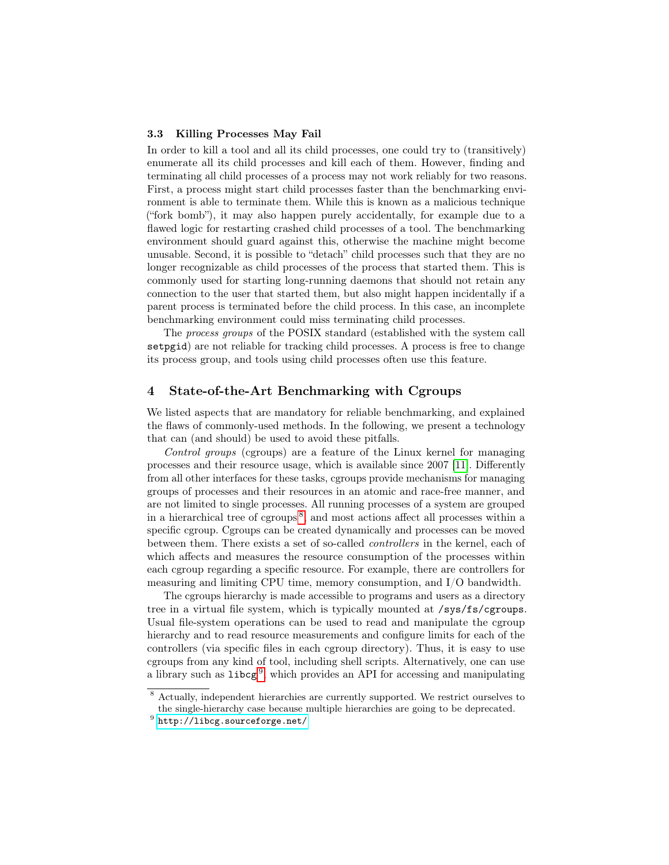## 3.3 Killing Processes May Fail

In order to kill a tool and all its child processes, one could try to (transitively) enumerate all its child processes and kill each of them. However, finding and terminating all child processes of a process may not work reliably for two reasons. First, a process might start child processes faster than the benchmarking environment is able to terminate them. While this is known as a malicious technique ("fork bomb"), it may also happen purely accidentally, for example due to a flawed logic for restarting crashed child processes of a tool. The benchmarking environment should guard against this, otherwise the machine might become unusable. Second, it is possible to "detach" child processes such that they are no longer recognizable as child processes of the process that started them. This is commonly used for starting long-running daemons that should not retain any connection to the user that started them, but also might happen incidentally if a parent process is terminated before the child process. In this case, an incomplete benchmarking environment could miss terminating child processes.

The process groups of the POSIX standard (established with the system call setpgid) are not reliable for tracking child processes. A process is free to change its process group, and tools using child processes often use this feature.

## <span id="page-7-0"></span>4 State-of-the-Art Benchmarking with Cgroups

We listed aspects that are mandatory for reliable benchmarking, and explained the flaws of commonly-used methods. In the following, we present a technology that can (and should) be used to avoid these pitfalls.

Control groups (cgroups) are a feature of the Linux kernel for managing processes and their resource usage, which is available since 2007 [\[11\]](#page-17-5). Differently from all other interfaces for these tasks, cgroups provide mechanisms for managing groups of processes and their resources in an atomic and race-free manner, and are not limited to single processes. All running processes of a system are grouped in a hierarchical tree of cgroups [8](#page-0-0) , and most actions affect all processes within a specific cgroup. Cgroups can be created dynamically and processes can be moved between them. There exists a set of so-called controllers in the kernel, each of which affects and measures the resource consumption of the processes within each cgroup regarding a specific resource. For example, there are controllers for measuring and limiting CPU time, memory consumption, and I/O bandwidth.

The cgroups hierarchy is made accessible to programs and users as a directory tree in a virtual file system, which is typically mounted at /sys/fs/cgroups. Usual file-system operations can be used to read and manipulate the cgroup hierarchy and to read resource measurements and configure limits for each of the controllers (via specific files in each cgroup directory). Thus, it is easy to use cgroups from any kind of tool, including shell scripts. Alternatively, one can use a library such as  $\text{libcg}^9$  $\text{libcg}^9$ , which provides an API for accessing and manipulating

<sup>8</sup> Actually, independent hierarchies are currently supported. We restrict ourselves to the single-hierarchy case because multiple hierarchies are going to be deprecated.

 $^9$  <http://libcg.sourceforge.net/>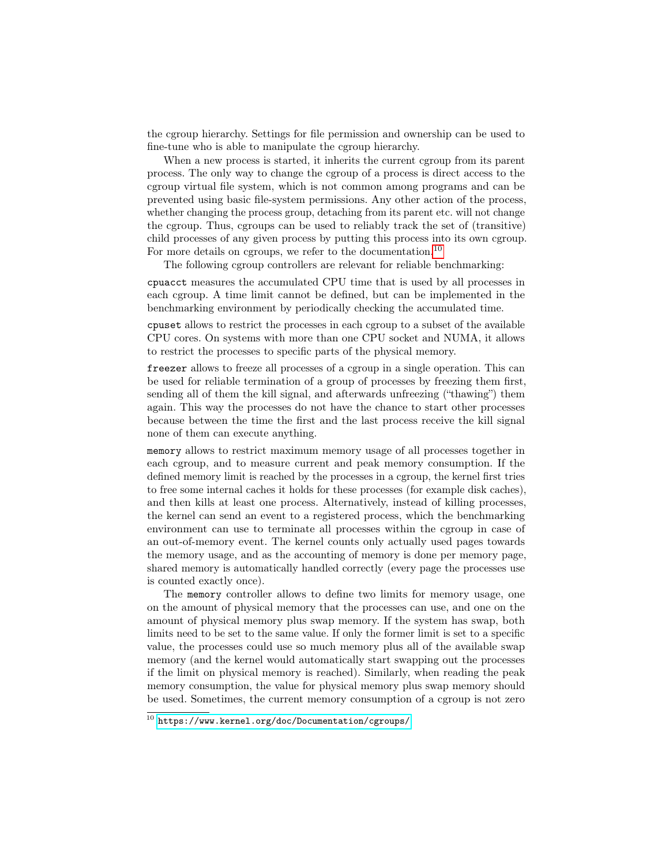the cgroup hierarchy. Settings for file permission and ownership can be used to fine-tune who is able to manipulate the cgroup hierarchy.

When a new process is started, it inherits the current cgroup from its parent process. The only way to change the cgroup of a process is direct access to the cgroup virtual file system, which is not common among programs and can be prevented using basic file-system permissions. Any other action of the process, whether changing the process group, detaching from its parent etc. will not change the cgroup. Thus, cgroups can be used to reliably track the set of (transitive) child processes of any given process by putting this process into its own cgroup. For more details on cgroups, we refer to the documentation.[10](#page-0-0)

The following cgroup controllers are relevant for reliable benchmarking:

cpuacct measures the accumulated CPU time that is used by all processes in each cgroup. A time limit cannot be defined, but can be implemented in the benchmarking environment by periodically checking the accumulated time.

cpuset allows to restrict the processes in each cgroup to a subset of the available CPU cores. On systems with more than one CPU socket and NUMA, it allows to restrict the processes to specific parts of the physical memory.

freezer allows to freeze all processes of a cgroup in a single operation. This can be used for reliable termination of a group of processes by freezing them first, sending all of them the kill signal, and afterwards unfreezing ("thawing") them again. This way the processes do not have the chance to start other processes because between the time the first and the last process receive the kill signal none of them can execute anything.

memory allows to restrict maximum memory usage of all processes together in each cgroup, and to measure current and peak memory consumption. If the defined memory limit is reached by the processes in a cgroup, the kernel first tries to free some internal caches it holds for these processes (for example disk caches), and then kills at least one process. Alternatively, instead of killing processes, the kernel can send an event to a registered process, which the benchmarking environment can use to terminate all processes within the cgroup in case of an out-of-memory event. The kernel counts only actually used pages towards the memory usage, and as the accounting of memory is done per memory page, shared memory is automatically handled correctly (every page the processes use is counted exactly once).

The memory controller allows to define two limits for memory usage, one on the amount of physical memory that the processes can use, and one on the amount of physical memory plus swap memory. If the system has swap, both limits need to be set to the same value. If only the former limit is set to a specific value, the processes could use so much memory plus all of the available swap memory (and the kernel would automatically start swapping out the processes if the limit on physical memory is reached). Similarly, when reading the peak memory consumption, the value for physical memory plus swap memory should be used. Sometimes, the current memory consumption of a cgroup is not zero

 $^{10}$  <https://www.kernel.org/doc/Documentation/cgroups/>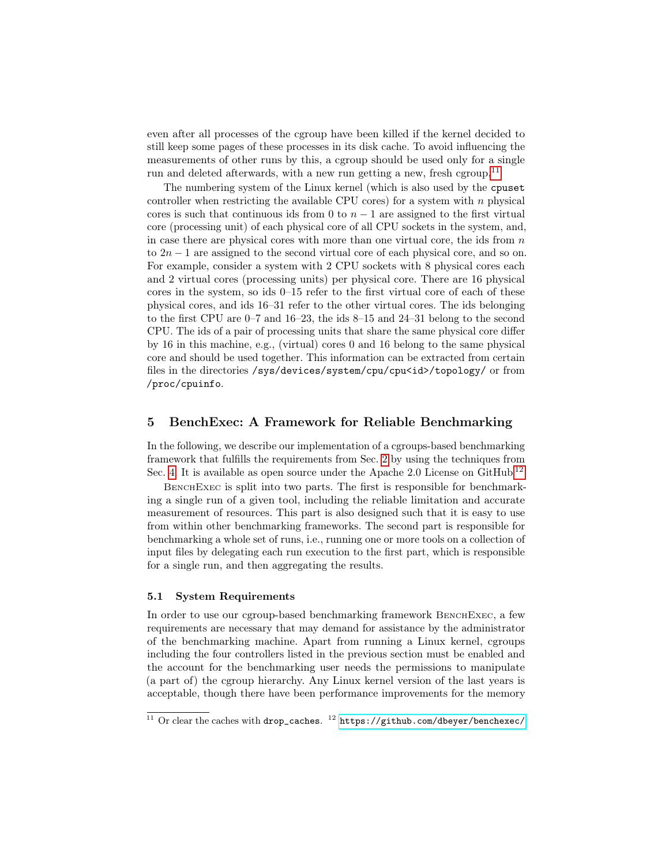even after all processes of the cgroup have been killed if the kernel decided to still keep some pages of these processes in its disk cache. To avoid influencing the measurements of other runs by this, a cgroup should be used only for a single run and deleted afterwards, with a new run getting a new, fresh cgroup.<sup>[11](#page-0-0)</sup>

The numbering system of the Linux kernel (which is also used by the cpuset controller when restricting the available CPU cores) for a system with  $n$  physical cores is such that continuous ids from 0 to  $n-1$  are assigned to the first virtual core (processing unit) of each physical core of all CPU sockets in the system, and, in case there are physical cores with more than one virtual core, the ids from  $n$ to  $2n-1$  are assigned to the second virtual core of each physical core, and so on. For example, consider a system with 2 CPU sockets with 8 physical cores each and 2 virtual cores (processing units) per physical core. There are 16 physical cores in the system, so ids 0–15 refer to the first virtual core of each of these physical cores, and ids 16–31 refer to the other virtual cores. The ids belonging to the first CPU are 0–7 and 16–23, the ids 8–15 and 24–31 belong to the second CPU. The ids of a pair of processing units that share the same physical core differ by 16 in this machine, e.g., (virtual) cores 0 and 16 belong to the same physical core and should be used together. This information can be extracted from certain files in the directories /sys/devices/system/cpu/cpu<id>/topology/ or from /proc/cpuinfo.

# <span id="page-9-0"></span>5 BenchExec: A Framework for Reliable Benchmarking

In the following, we describe our implementation of a cgroups-based benchmarking framework that fulfills the requirements from Sec. [2](#page-2-0) by using the techniques from Sec. [4.](#page-7-0) It is available as open source under the Apache 2.0 License on GitHub<sup>[12](#page-0-0)</sup>.

BenchExec is split into two parts. The first is responsible for benchmarking a single run of a given tool, including the reliable limitation and accurate measurement of resources. This part is also designed such that it is easy to use from within other benchmarking frameworks. The second part is responsible for benchmarking a whole set of runs, i.e., running one or more tools on a collection of input files by delegating each run execution to the first part, which is responsible for a single run, and then aggregating the results.

## 5.1 System Requirements

In order to use our cgroup-based benchmarking framework BenchExec, a few requirements are necessary that may demand for assistance by the administrator of the benchmarking machine. Apart from running a Linux kernel, cgroups including the four controllers listed in the previous section must be enabled and the account for the benchmarking user needs the permissions to manipulate (a part of) the cgroup hierarchy. Any Linux kernel version of the last years is acceptable, though there have been performance improvements for the memory

 $11$  Or clear the caches with drop\_caches.  $12$  <https://github.com/dbeyer/benchexec/>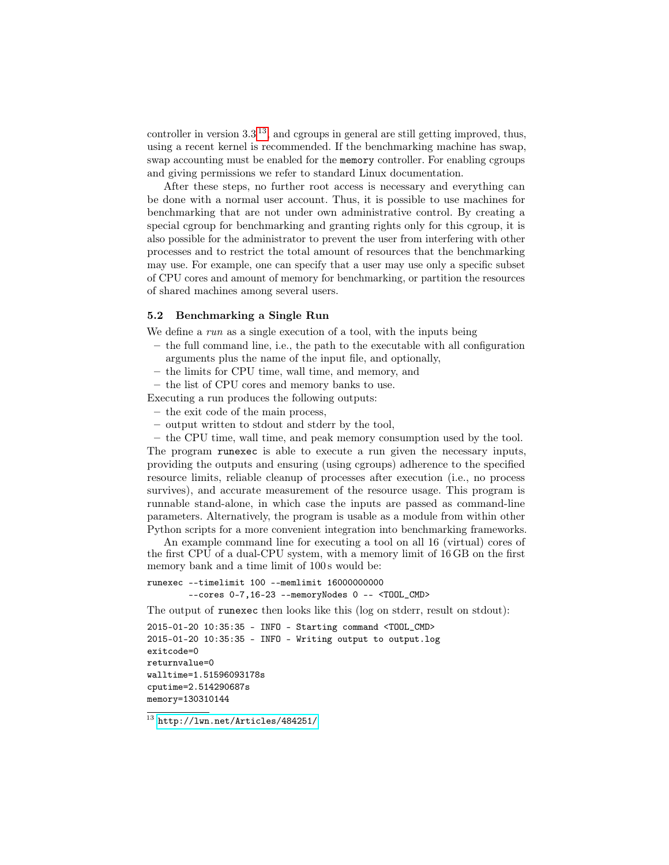controller in version  $3.3<sup>13</sup>$  $3.3<sup>13</sup>$  $3.3<sup>13</sup>$ , and cgroups in general are still getting improved, thus, using a recent kernel is recommended. If the benchmarking machine has swap, swap accounting must be enabled for the memory controller. For enabling cgroups and giving permissions we refer to standard Linux documentation.

After these steps, no further root access is necessary and everything can be done with a normal user account. Thus, it is possible to use machines for benchmarking that are not under own administrative control. By creating a special cgroup for benchmarking and granting rights only for this cgroup, it is also possible for the administrator to prevent the user from interfering with other processes and to restrict the total amount of resources that the benchmarking may use. For example, one can specify that a user may use only a specific subset of CPU cores and amount of memory for benchmarking, or partition the resources of shared machines among several users.

#### <span id="page-10-0"></span>5.2 Benchmarking a Single Run

We define a run as a single execution of a tool, with the inputs being

- the full command line, i.e., the path to the executable with all configuration arguments plus the name of the input file, and optionally,
- the limits for CPU time, wall time, and memory, and
- the list of CPU cores and memory banks to use.

Executing a run produces the following outputs:

- the exit code of the main process,
- output written to stdout and stderr by the tool,

– the CPU time, wall time, and peak memory consumption used by the tool. The program runexec is able to execute a run given the necessary inputs, providing the outputs and ensuring (using cgroups) adherence to the specified resource limits, reliable cleanup of processes after execution (i.e., no process survives), and accurate measurement of the resource usage. This program is runnable stand-alone, in which case the inputs are passed as command-line parameters. Alternatively, the program is usable as a module from within other Python scripts for a more convenient integration into benchmarking frameworks.

An example command line for executing a tool on all 16 (virtual) cores of the first CPU of a dual-CPU system, with a memory limit of 16 GB on the first memory bank and a time limit of  $100 s$  would be:

```
runexec --timelimit 100 --memlimit 16000000000
```
--cores 0-7,16-23 --memoryNodes 0 -- <TOOL\_CMD>

The output of runexec then looks like this (log on stderr, result on stdout):

```
2015-01-20 10:35:35 - INFO - Starting command <TOOL_CMD>
2015-01-20 10:35:35 - INFO - Writing output to output.log
exitcode=0
returnvalue=0
walltime=1.51596093178s
cputime=2.514290687s
memory=130310144
```
 $^{13}$  <http://lwn.net/Articles/484251/>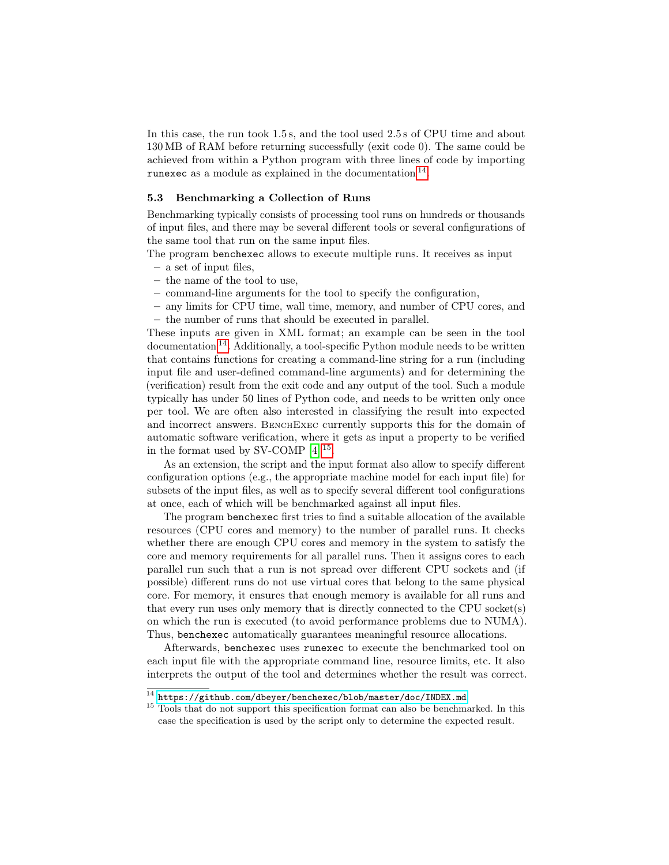In this case, the run took 1.5 s, and the tool used 2.5 s of CPU time and about 130 MB of RAM before returning successfully (exit code 0). The same could be achieved from within a Python program with three lines of code by importing runexec as a module as explained in the documentation <sup>[14](#page-0-0)</sup>.

## 5.3 Benchmarking a Collection of Runs

Benchmarking typically consists of processing tool runs on hundreds or thousands of input files, and there may be several different tools or several configurations of the same tool that run on the same input files.

The program benchexec allows to execute multiple runs. It receives as input

- a set of input files,
- the name of the tool to use,
- command-line arguments for the tool to specify the configuration,
- any limits for CPU time, wall time, memory, and number of CPU cores, and – the number of runs that should be executed in parallel.
- These inputs are given in XML format; an example can be seen in the tool documentation [14](#page-10-0). Additionally, a tool-specific Python module needs to be written that contains functions for creating a command-line string for a run (including input file and user-defined command-line arguments) and for determining the (verification) result from the exit code and any output of the tool. Such a module typically has under 50 lines of Python code, and needs to be written only once per tool. We are often also interested in classifying the result into expected and incorrect answers. BenchExec currently supports this for the domain of automatic software verification, where it gets as input a property to be verified in the format used by SV-COMP  $[4]$ <sup>[15](#page-0-0)</sup>.

As an extension, the script and the input format also allow to specify different configuration options (e.g., the appropriate machine model for each input file) for subsets of the input files, as well as to specify several different tool configurations at once, each of which will be benchmarked against all input files.

The program benchexec first tries to find a suitable allocation of the available resources (CPU cores and memory) to the number of parallel runs. It checks whether there are enough CPU cores and memory in the system to satisfy the core and memory requirements for all parallel runs. Then it assigns cores to each parallel run such that a run is not spread over different CPU sockets and (if possible) different runs do not use virtual cores that belong to the same physical core. For memory, it ensures that enough memory is available for all runs and that every run uses only memory that is directly connected to the CPU socket(s) on which the run is executed (to avoid performance problems due to NUMA). Thus, benchexec automatically guarantees meaningful resource allocations.

Afterwards, benchexec uses runexec to execute the benchmarked tool on each input file with the appropriate command line, resource limits, etc. It also interprets the output of the tool and determines whether the result was correct.

 $^{14}$ <https://github.com/dbeyer/benchexec/blob/master/doc/INDEX.md>

<sup>&</sup>lt;sup>15</sup> Tools that do not support this specification format can also be benchmarked. In this case the specification is used by the script only to determine the expected result.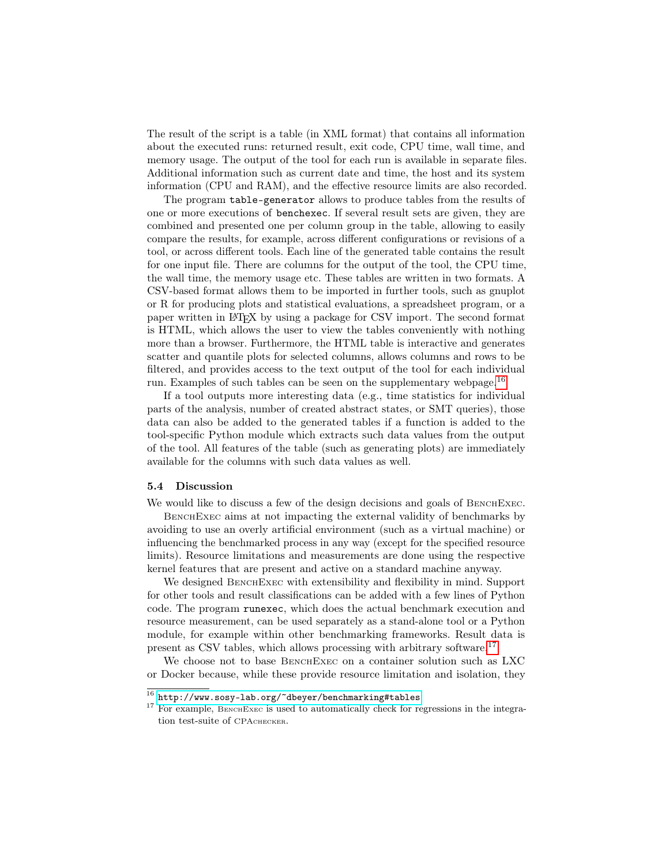The result of the script is a table (in XML format) that contains all information about the executed runs: returned result, exit code, CPU time, wall time, and memory usage. The output of the tool for each run is available in separate files. Additional information such as current date and time, the host and its system information (CPU and RAM), and the effective resource limits are also recorded.

The program table-generator allows to produce tables from the results of one or more executions of benchexec. If several result sets are given, they are combined and presented one per column group in the table, allowing to easily compare the results, for example, across different configurations or revisions of a tool, or across different tools. Each line of the generated table contains the result for one input file. There are columns for the output of the tool, the CPU time, the wall time, the memory usage etc. These tables are written in two formats. A CSV-based format allows them to be imported in further tools, such as gnuplot or R for producing plots and statistical evaluations, a spreadsheet program, or a paper written in LATEX by using a package for CSV import. The second format is HTML, which allows the user to view the tables conveniently with nothing more than a browser. Furthermore, the HTML table is interactive and generates scatter and quantile plots for selected columns, allows columns and rows to be filtered, and provides access to the text output of the tool for each individual run. Examples of such tables can be seen on the supplementary webpage.[16](#page-0-0)

If a tool outputs more interesting data (e.g., time statistics for individual parts of the analysis, number of created abstract states, or SMT queries), those data can also be added to the generated tables if a function is added to the tool-specific Python module which extracts such data values from the output of the tool. All features of the table (such as generating plots) are immediately available for the columns with such data values as well.

#### 5.4 Discussion

We would like to discuss a few of the design decisions and goals of BENCHEXEC.

BenchExec aims at not impacting the external validity of benchmarks by avoiding to use an overly artificial environment (such as a virtual machine) or influencing the benchmarked process in any way (except for the specified resource limits). Resource limitations and measurements are done using the respective kernel features that are present and active on a standard machine anyway.

We designed BENCHEXEC with extensibility and flexibility in mind. Support for other tools and result classifications can be added with a few lines of Python code. The program runexec, which does the actual benchmark execution and resource measurement, can be used separately as a stand-alone tool or a Python module, for example within other benchmarking frameworks. Result data is present as CSV tables, which allows processing with arbitrary software.[17](#page-0-0)

We choose not to base BENCHEXEC on a container solution such as LXC or Docker because, while these provide resource limitation and isolation, they

 $^{16}$  <http://www.sosy-lab.org/~dbeyer/benchmarking#tables>

<sup>&</sup>lt;sup>17</sup> For example, BENCHEXEC is used to automatically check for regressions in the integration test-suite of CPAchecker.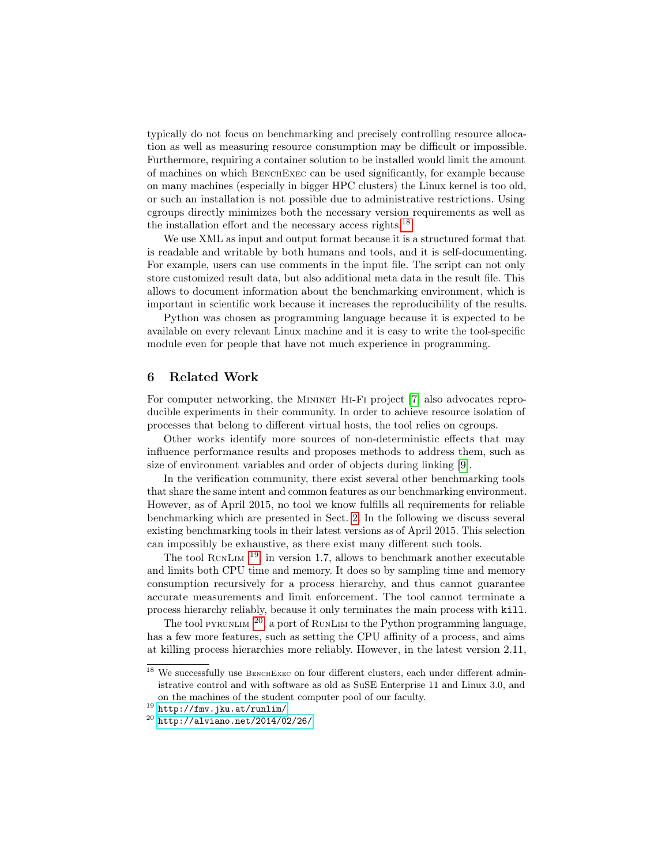typically do not focus on benchmarking and precisely controlling resource allocation as well as measuring resource consumption may be difficult or impossible. Furthermore, requiring a container solution to be installed would limit the amount of machines on which BenchExec can be used significantly, for example because on many machines (especially in bigger HPC clusters) the Linux kernel is too old, or such an installation is not possible due to administrative restrictions. Using cgroups directly minimizes both the necessary version requirements as well as the installation effort and the necessary access rights.[18](#page-0-0)

We use XML as input and output format because it is a structured format that is readable and writable by both humans and tools, and it is self-documenting. For example, users can use comments in the input file. The script can not only store customized result data, but also additional meta data in the result file. This allows to document information about the benchmarking environment, which is important in scientific work because it increases the reproducibility of the results.

Python was chosen as programming language because it is expected to be available on every relevant Linux machine and it is easy to write the tool-specific module even for people that have not much experience in programming.

## 6 Related Work

For computer networking, the MININET HI-FI project [\[7\]](#page-17-6) also advocates reproducible experiments in their community. In order to achieve resource isolation of processes that belong to different virtual hosts, the tool relies on cgroups.

Other works identify more sources of non-deterministic effects that may influence performance results and proposes methods to address them, such as size of environment variables and order of objects during linking [\[9\]](#page-17-7).

In the verification community, there exist several other benchmarking tools that share the same intent and common features as our benchmarking environment. However, as of April 2015, no tool we know fulfills all requirements for reliable benchmarking which are presented in Sect. [2.](#page-2-0) In the following we discuss several existing benchmarking tools in their latest versions as of April 2015. This selection can impossibly be exhaustive, as there exist many different such tools.

The tool RUNLIM  $^{19}$  $^{19}$  $^{19}$ , in version 1.7, allows to benchmark another executable and limits both CPU time and memory. It does so by sampling time and memory consumption recursively for a process hierarchy, and thus cannot guarantee accurate measurements and limit enforcement. The tool cannot terminate a process hierarchy reliably, because it only terminates the main process with kill.

The tool PYRUNLIM  $^{20}$  $^{20}$  $^{20}$ , a port of RUNLIM to the Python programming language, has a few more features, such as setting the CPU affinity of a process, and aims at killing process hierarchies more reliably. However, in the latest version 2.11,

<sup>&</sup>lt;sup>18</sup> We successfully use BENCHEXEC on four different clusters, each under different administrative control and with software as old as SuSE Enterprise 11 and Linux 3.0, and on the machines of the student computer pool of our faculty.

 $^{19}$ <http://fmv.jku.at/runlim/>

<sup>20</sup> <http://alviano.net/2014/02/26/>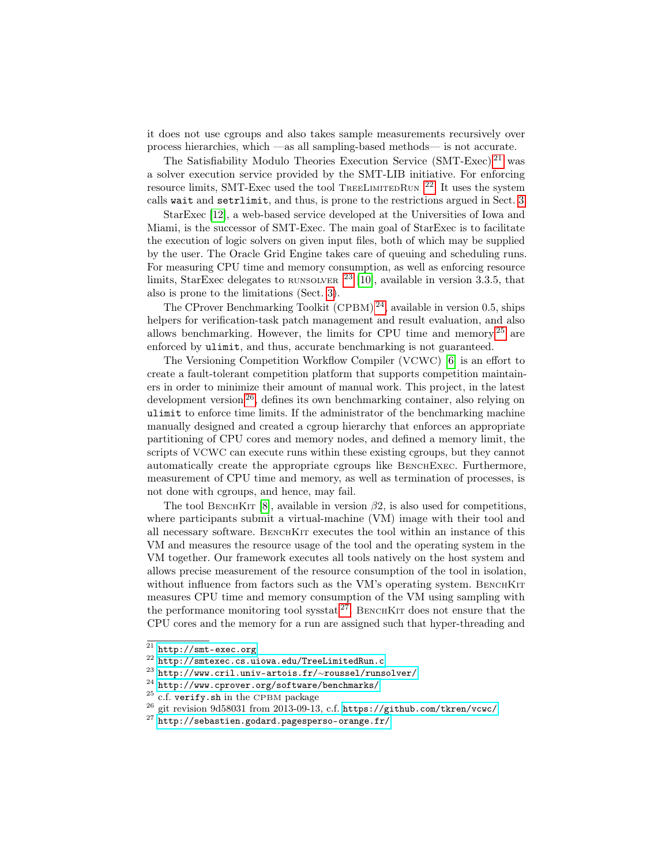it does not use cgroups and also takes sample measurements recursively over process hierarchies, which —as all sampling-based methods— is not accurate.

The Satisfiability Modulo Theories Execution Service (SMT-Exec) [21](#page-0-0) was a solver execution service provided by the SMT-LIB initiative. For enforcing resource limits, SMT-Exec used the tool TREELIMITEDRUN <sup>[22](#page-0-0)</sup>. It uses the system calls wait and setrlimit, and thus, is prone to the restrictions argued in Sect. [3.](#page-5-0)

StarExec [\[12\]](#page-17-8), a web-based service developed at the Universities of Iowa and Miami, is the successor of SMT-Exec. The main goal of StarExec is to facilitate the execution of logic solvers on given input files, both of which may be supplied by the user. The Oracle Grid Engine takes care of queuing and scheduling runs. For measuring CPU time and memory consumption, as well as enforcing resource limits, StarExec delegates to RUNSOLVER  $^{23}$  $^{23}$  $^{23}$  [\[10\]](#page-17-9), available in version 3.3.5, that also is prone to the limitations (Sect. [3\)](#page-5-0).

The CProver Benchmarking Toolkit (CPBM)<sup>[24](#page-0-0)</sup>, available in version 0.5, ships helpers for verification-task patch management and result evaluation, and also allows benchmarking. However, the limits for CPU time and memory  $2^5$  are enforced by ulimit, and thus, accurate benchmarking is not guaranteed.

The Versioning Competition Workflow Compiler (VCWC) [\[6\]](#page-17-10) is an effort to create a fault-tolerant competition platform that supports competition maintainers in order to minimize their amount of manual work. This project, in the latest development version [26](#page-0-0), defines its own benchmarking container, also relying on ulimit to enforce time limits. If the administrator of the benchmarking machine manually designed and created a cgroup hierarchy that enforces an appropriate partitioning of CPU cores and memory nodes, and defined a memory limit, the scripts of VCWC can execute runs within these existing cgroups, but they cannot automatically create the appropriate cgroups like BenchExec. Furthermore, measurement of CPU time and memory, as well as termination of processes, is not done with cgroups, and hence, may fail.

The tool BENCHKIT [\[8\]](#page-17-11), available in version  $\beta$ 2, is also used for competitions, where participants submit a virtual-machine (VM) image with their tool and all necessary software. BENCHKIT executes the tool within an instance of this VM and measures the resource usage of the tool and the operating system in the VM together. Our framework executes all tools natively on the host system and allows precise measurement of the resource consumption of the tool in isolation, without influence from factors such as the VM's operating system. BENCHKIT measures CPU time and memory consumption of the VM using sampling with the performance monitoring tool sysstat  $^{27}$  $^{27}$  $^{27}$ . BENCHKIT does not ensure that the CPU cores and the memory for a run are assigned such that hyper-threading and

 $21$  <http://smt-exec.org>

<sup>22</sup> <http://smtexec.cs.uiowa.edu/TreeLimitedRun.c>

<sup>23</sup> [http://www.cril.univ-artois.fr/](http://www.cril.univ-artois.fr/~roussel/runsolver/)∼roussel/runsolver/

<sup>24</sup> <http://www.cprover.org/software/benchmarks/>

<sup>&</sup>lt;sup>25</sup> c.f. verify.sh in the CPBM package

 $^{26}$  git revision 9d58031 from 2013-09-13, c.f. <https://github.com/tkren/vcwc/>

 $27$  <http://sebastien.godard.pagesperso-orange.fr/>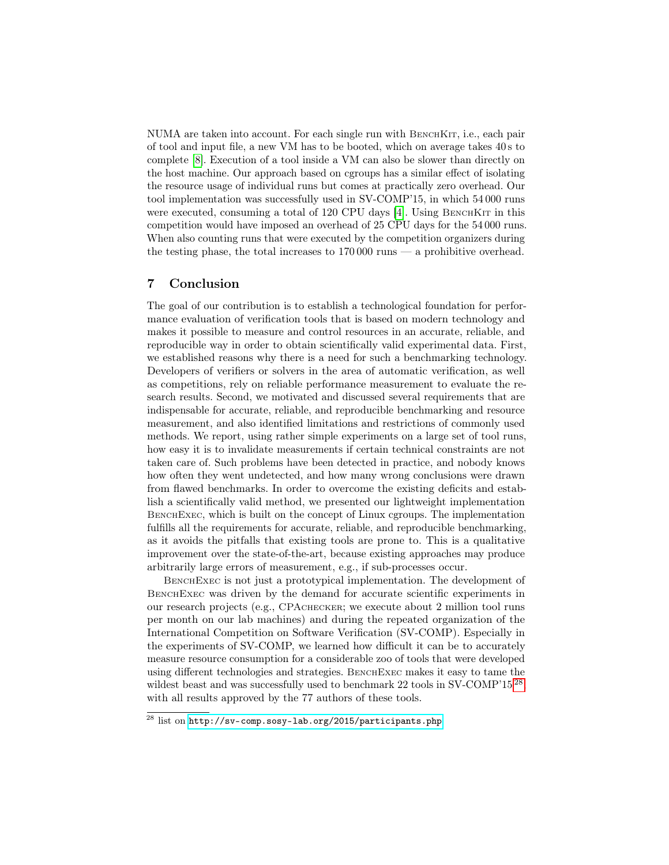NUMA are taken into account. For each single run with BENCHKIT, i.e., each pair of tool and input file, a new VM has to be booted, which on average takes 40 s to complete [\[8\]](#page-17-11). Execution of a tool inside a VM can also be slower than directly on the host machine. Our approach based on cgroups has a similar effect of isolating the resource usage of individual runs but comes at practically zero overhead. Our tool implementation was successfully used in SV-COMP'15, in which 54 000 runs were executed, consuming a total of 120 CPU days [\[4\]](#page-17-3). Using BENCHKIT in this competition would have imposed an overhead of 25 CPU days for the 54 000 runs. When also counting runs that were executed by the competition organizers during the testing phase, the total increases to  $170000$  runs — a prohibitive overhead.

# 7 Conclusion

The goal of our contribution is to establish a technological foundation for performance evaluation of verification tools that is based on modern technology and makes it possible to measure and control resources in an accurate, reliable, and reproducible way in order to obtain scientifically valid experimental data. First, we established reasons why there is a need for such a benchmarking technology. Developers of verifiers or solvers in the area of automatic verification, as well as competitions, rely on reliable performance measurement to evaluate the research results. Second, we motivated and discussed several requirements that are indispensable for accurate, reliable, and reproducible benchmarking and resource measurement, and also identified limitations and restrictions of commonly used methods. We report, using rather simple experiments on a large set of tool runs, how easy it is to invalidate measurements if certain technical constraints are not taken care of. Such problems have been detected in practice, and nobody knows how often they went undetected, and how many wrong conclusions were drawn from flawed benchmarks. In order to overcome the existing deficits and establish a scientifically valid method, we presented our lightweight implementation BenchExec, which is built on the concept of Linux cgroups. The implementation fulfills all the requirements for accurate, reliable, and reproducible benchmarking, as it avoids the pitfalls that existing tools are prone to. This is a qualitative improvement over the state-of-the-art, because existing approaches may produce arbitrarily large errors of measurement, e.g., if sub-processes occur.

BenchExec is not just a prototypical implementation. The development of BenchExec was driven by the demand for accurate scientific experiments in our research projects (e.g., CPAchecker; we execute about 2 million tool runs per month on our lab machines) and during the repeated organization of the International Competition on Software Verification (SV-COMP). Especially in the experiments of SV-COMP, we learned how difficult it can be to accurately measure resource consumption for a considerable zoo of tools that were developed using different technologies and strategies. BenchExec makes it easy to tame the wildest beast and was successfully used to benchmark 22 tools in SV-COMP'15<sup>[28](#page-0-0)</sup>, with all results approved by the 77 authors of these tools.

 $^{28}$  list on <http://sv-comp.sosy-lab.org/2015/participants.php>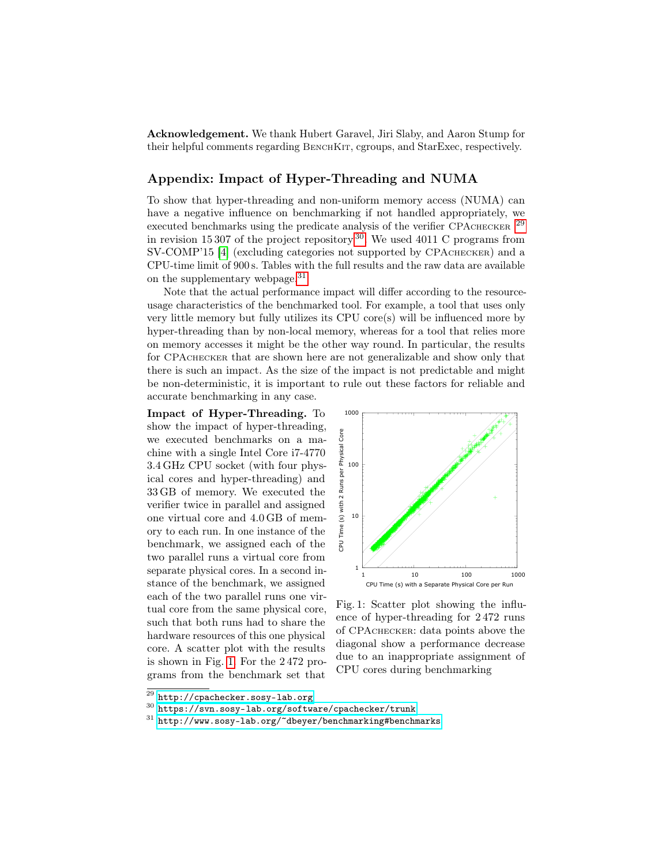Acknowledgement. We thank Hubert Garavel, Jiri Slaby, and Aaron Stump for their helpful comments regarding BenchKit, cgroups, and StarExec, respectively.

# Appendix: Impact of Hyper-Threading and NUMA

To show that hyper-threading and non-uniform memory access (NUMA) can have a negative influence on benchmarking if not handled appropriately, we executed benchmarks using the predicate analysis of the verifier CPACHECKER <sup>[29](#page-0-0)</sup> in revision 15 [30](#page-0-0)7 of the project repository  $30$ . We used 4011 C programs from SV-COMP'15 [\[4\]](#page-17-3) (excluding categories not supported by CPAchecker) and a CPU-time limit of 900 s. Tables with the full results and the raw data are available on the supplementary webpage.<sup>[31](#page-0-0)</sup>

Note that the actual performance impact will differ according to the resourceusage characteristics of the benchmarked tool. For example, a tool that uses only very little memory but fully utilizes its CPU core(s) will be influenced more by hyper-threading than by non-local memory, whereas for a tool that relies more on memory accesses it might be the other way round. In particular, the results for CPAchecker that are shown here are not generalizable and show only that there is such an impact. As the size of the impact is not predictable and might be non-deterministic, it is important to rule out these factors for reliable and accurate benchmarking in any case.

Impact of Hyper-Threading. To show the impact of hyper-threading, we executed benchmarks on a machine with a single Intel Core i7-4770 3.4 GHz CPU socket (with four physical cores and hyper-threading) and 33 GB of memory. We executed the verifier twice in parallel and assigned one virtual core and 4.0 GB of memory to each run. In one instance of the benchmark, we assigned each of the two parallel runs a virtual core from separate physical cores. In a second instance of the benchmark, we assigned each of the two parallel runs one virtual core from the same physical core, such that both runs had to share the hardware resources of this one physical core. A scatter plot with the results is shown in Fig. [1.](#page-16-0) For the 2 472 programs from the benchmark set that

<span id="page-16-0"></span>

Fig. 1: Scatter plot showing the influence of hyper-threading for 2 472 runs of CPAchecker: data points above the diagonal show a performance decrease due to an inappropriate assignment of CPU cores during benchmarking

 $^{\rm 29}$ <http://cpachecker.sosy-lab.org>

<sup>30</sup> <https://svn.sosy-lab.org/software/cpachecker/trunk>

 $31$  <http://www.sosy-lab.org/~dbeyer/benchmarking#benchmarks>